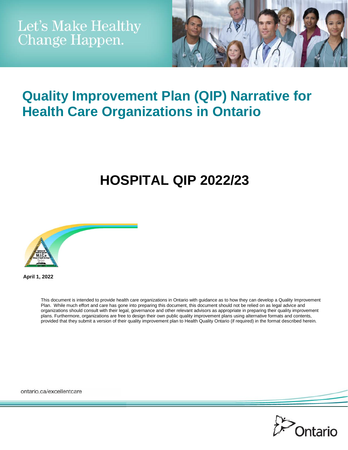

## **Quality Improvement Plan (QIP) Narrative for Health Care Organizations in Ontario**

# **HOSPITAL QIP 2022/23**



**April 1, 2022**

This document is intended to provide health care organizations in Ontario with guidance as to how they can develop a Quality Improvement Plan. While much effort and care has gone into preparing this document, this document should not be relied on as legal advice and organizations should consult with their legal, governance and other relevant advisors as appropriate in preparing their quality improvement plans. Furthermore, organizations are free to design their own public quality improvement plans using alternative formats and contents, provided that they submit a version of their quality improvement plan to Health Quality Ontario (if required) in the format described herein.

ontario.ca/excellentcare

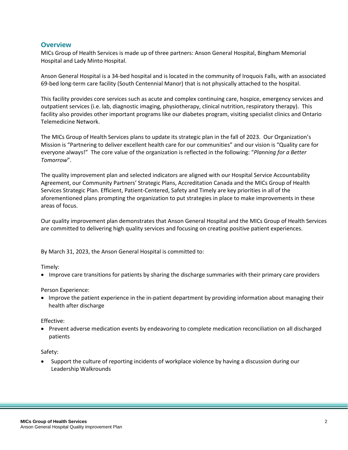#### **Overview**

MICs Group of Health Services is made up of three partners: Anson General Hospital, Bingham Memorial Hospital and Lady Minto Hospital.

Anson General Hospital is a 34-bed hospital and is located in the community of Iroquois Falls, with an associated 69-bed long-term care facility (South Centennial Manor) that is not physically attached to the hospital.

This facility provides core services such as acute and complex continuing care, hospice, emergency services and outpatient services (i.e. lab, diagnostic imaging, physiotherapy, clinical nutrition, respiratory therapy). This facility also provides other important programs like our diabetes program, visiting specialist clinics and Ontario Telemedicine Network.

The MICs Group of Health Services plans to update its strategic plan in the fall of 2023. Our Organization's Mission is "Partnering to deliver excellent health care for our communities" and our vision is "Quality care for everyone always!" The core value of the organization is reflected in the following: "*Planning for a Better Tomorrow*".

The quality improvement plan and selected indicators are aligned with our Hospital Service Accountability Agreement, our Community Partners' Strategic Plans, Accreditation Canada and the MICs Group of Health Services Strategic Plan. Efficient, Patient-Centered, Safety and Timely are key priorities in all of the aforementioned plans prompting the organization to put strategies in place to make improvements in these areas of focus.

Our quality improvement plan demonstrates that Anson General Hospital and the MICs Group of Health Services are committed to delivering high quality services and focusing on creating positive patient experiences.

By March 31, 2023, the Anson General Hospital is committed to:

#### Timely:

Improve care transitions for patients by sharing the discharge summaries with their primary care providers

#### Person Experience:

 Improve the patient experience in the in-patient department by providing information about managing their health after discharge

#### Effective:

 Prevent adverse medication events by endeavoring to complete medication reconciliation on all discharged patients

#### Safety:

 Support the culture of reporting incidents of workplace violence by having a discussion during our Leadership Walkrounds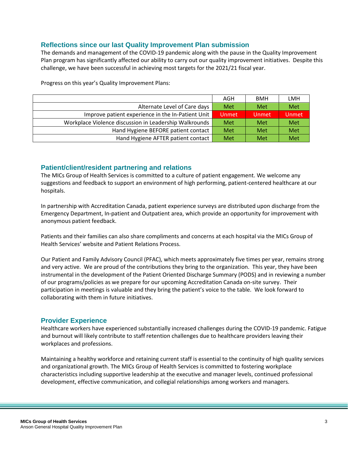## **Reflections since our last Quality Improvement Plan submission**

The demands and management of the COVID-19 pandemic along with the pause in the Quality Improvement Plan program has significantly affected our ability to carry out our quality improvement initiatives. Despite this challenge, we have been successful in achieving most targets for the 2021/21 fiscal year.

Progress on this year's Quality Improvement Plans:

|                                                        | AGH   | <b>BMH</b> | LMH   |
|--------------------------------------------------------|-------|------------|-------|
| Alternate Level of Care days                           | Met   | Met        | Met   |
| Improve patient experience in the In-Patient Unit      | Unmet | Unmet      | Unmet |
| Workplace Violence discussion in Leadership Walkrounds | Met   | Met        | Met   |
| Hand Hygiene BEFORE patient contact                    | Met   | Met        | Met   |
| Hand Hygiene AFTER patient contact                     | Met   | Met        | Met   |

#### **Patient/client/resident partnering and relations**

The MICs Group of Health Services is committed to a culture of patient engagement. We welcome any suggestions and feedback to support an environment of high performing, patient-centered healthcare at our hospitals.

In partnership with Accreditation Canada, patient experience surveys are distributed upon discharge from the Emergency Department, In-patient and Outpatient area, which provide an opportunity for improvement with anonymous patient feedback.

Patients and their families can also share compliments and concerns at each hospital via the MICs Group of Health Services' website and Patient Relations Process.

Our Patient and Family Advisory Council (PFAC), which meets approximately five times per year, remains strong and very active. We are proud of the contributions they bring to the organization. This year, they have been instrumental in the development of the Patient Oriented Discharge Summary (PODS) and in reviewing a number of our programs/policies as we prepare for our upcoming Accreditation Canada on-site survey. Their participation in meetings is valuable and they bring the patient's voice to the table. We look forward to collaborating with them in future initiatives.

#### **Provider Experience**

Healthcare workers have experienced substantially increased challenges during the COVID-19 pandemic. Fatigue and burnout will likely contribute to staff retention challenges due to healthcare providers leaving their workplaces and professions.

Maintaining a healthy workforce and retaining current staff is essential to the continuity of high quality services and organizational growth. The MICs Group of Health Services is committed to fostering workplace characteristics including supportive leadership at the executive and manager levels, continued professional development, effective communication, and collegial relationships among workers and managers.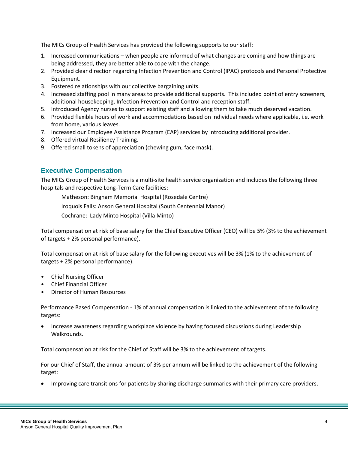The MICs Group of Health Services has provided the following supports to our staff:

- 1. Increased communications when people are informed of what changes are coming and how things are being addressed, they are better able to cope with the change.
- 2. Provided clear direction regarding Infection Prevention and Control (IPAC) protocols and Personal Protective Equipment.
- 3. Fostered relationships with our collective bargaining units.
- 4. Increased staffing pool in many areas to provide additional supports. This included point of entry screeners, additional housekeeping, Infection Prevention and Control and reception staff.
- 5. Introduced Agency nurses to support existing staff and allowing them to take much deserved vacation.
- 6. Provided flexible hours of work and accommodations based on individual needs where applicable, i.e. work from home, various leaves.
- 7. Increased our Employee Assistance Program (EAP) services by introducing additional provider.
- 8. Offered virtual Resiliency Training.
- 9. Offered small tokens of appreciation (chewing gum, face mask).

## **Executive Compensation**

The MICs Group of Health Services is a multi-site health service organization and includes the following three hospitals and respective Long-Term Care facilities:

Matheson: Bingham Memorial Hospital (Rosedale Centre)

Iroquois Falls: Anson General Hospital (South Centennial Manor)

Cochrane: Lady Minto Hospital (Villa Minto)

Total compensation at risk of base salary for the Chief Executive Officer (CEO) will be 5% (3% to the achievement of targets + 2% personal performance).

Total compensation at risk of base salary for the following executives will be 3% (1% to the achievement of targets + 2% personal performance).

- Chief Nursing Officer
- Chief Financial Officer
- Director of Human Resources

Performance Based Compensation - 1% of annual compensation is linked to the achievement of the following targets:

 Increase awareness regarding workplace violence by having focused discussions during Leadership Walkrounds.

Total compensation at risk for the Chief of Staff will be 3% to the achievement of targets.

For our Chief of Staff, the annual amount of 3% per annum will be linked to the achievement of the following target:

Improving care transitions for patients by sharing discharge summaries with their primary care providers.